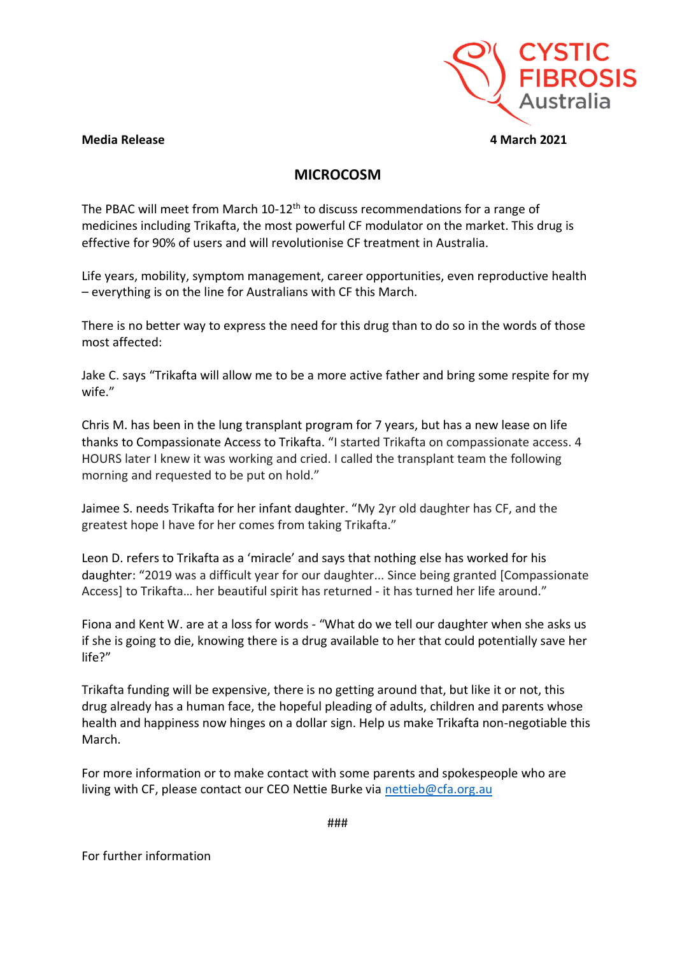

## **Media Release 4 March 2021**

## **MICROCOSM**

The PBAC will meet from March 10-12<sup>th</sup> to discuss recommendations for a range of medicines including Trikafta, the most powerful CF modulator on the market. This drug is effective for 90% of users and will revolutionise CF treatment in Australia.

Life years, mobility, symptom management, career opportunities, even reproductive health – everything is on the line for Australians with CF this March.

There is no better way to express the need for this drug than to do so in the words of those most affected:

Jake C. says "Trikafta will allow me to be a more active father and bring some respite for my wife."

Chris M. has been in the lung transplant program for 7 years, but has a new lease on life thanks to Compassionate Access to Trikafta. "I started Trikafta on compassionate access. 4 HOURS later I knew it was working and cried. I called the transplant team the following morning and requested to be put on hold."

Jaimee S. needs Trikafta for her infant daughter. "My 2yr old daughter has CF, and the greatest hope I have for her comes from taking Trikafta."

Leon D. refers to Trikafta as a 'miracle' and says that nothing else has worked for his daughter: "2019 was a difficult year for our daughter... Since being granted [Compassionate Access] to Trikafta… her beautiful spirit has returned - it has turned her life around."

Fiona and Kent W. are at a loss for words - "What do we tell our daughter when she asks us if she is going to die, knowing there is a drug available to her that could potentially save her life?"

Trikafta funding will be expensive, there is no getting around that, but like it or not, this drug already has a human face, the hopeful pleading of adults, children and parents whose health and happiness now hinges on a dollar sign. Help us make Trikafta non-negotiable this March.

For more information or to make contact with some parents and spokespeople who are living with CF, please contact our CEO Nettie Burke via [nettieb@cfa.org.au](mailto:nettieb@cfa.org.au)

###

For further information